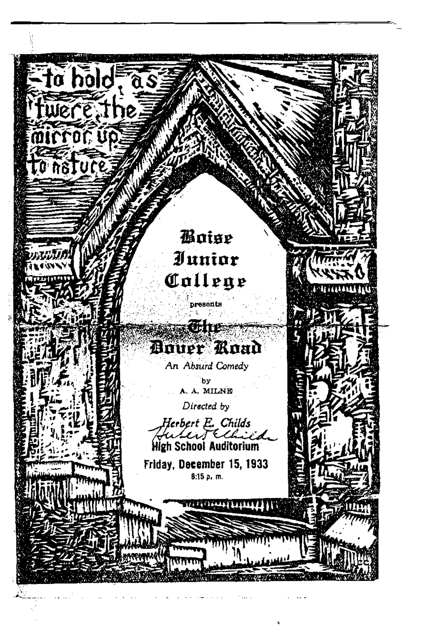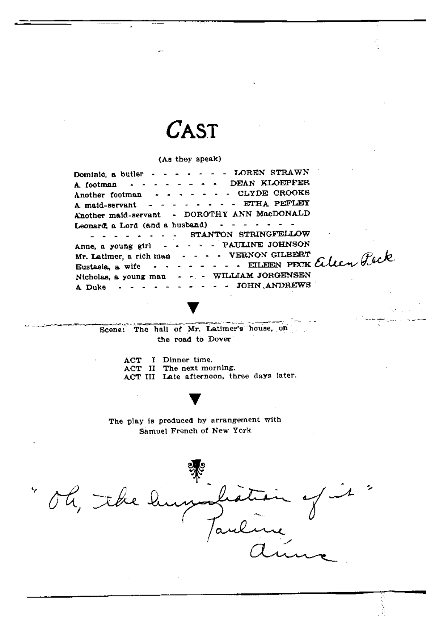## CAST

(Ae they speak)

- - LOREN STRAWN Dominic, a butler  $\cdot \cdot \cdot \cdot$ A. footman  $\cdots$ DEAN KLOEPFER  $\Delta$  $\sim$ • CLYDE CROOKS Another footman an an an an A maid-servant  $- - - - - - - -$  ETHA PEFLEY A:nother maid-servant - DOROTHY ANN MacDONALD Leonard, a Lord (and a husband)  $\sim$   $\sim$   $\sim$   $\sim$   $\sim$   $\sim$   $\sim$ - - - - - - - STANTON STRINGFELLOW - - - - PAULINE JOHNSON Anne, a young g1rl  $\cdots$  , FILDEN PECK alen Peck Mr. Latimer, a. rich man  $\mathbf{r}$  and  $\mathbf{r}$ Eustasia. a. wife  $-$ WILLIAM JORGENSEN Nicholas, a young man  $\omega_{\rm{eff}} = 100$ - • JOHN ,ANDREWS A Duke  $-$ 

Scene: The hall of Mr. Latimer's house, on the road to Dover

> ACT I Dinner time. ACT II The next morning, ACT III Late afternoon, three days later.

The play is produced by arrangement with samuel French of New York

., oh, the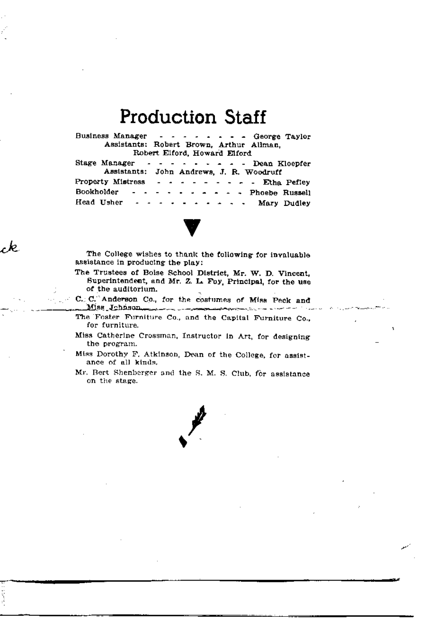## **Production Staff**

SS Manager - - - - - - - George Taylor<br>Assistants: Robert Brown, Arthur Allman, Business Manager Robert Elford, Howard Elford

|  |  |  |  |  |  |                                          | Stage Manager - - - - - - - - Dean Kloepfer |  |  |  |  |                                               |  |  |
|--|--|--|--|--|--|------------------------------------------|---------------------------------------------|--|--|--|--|-----------------------------------------------|--|--|
|  |  |  |  |  |  | Assistants: John Andrews, J. R. Woodruff |                                             |  |  |  |  |                                               |  |  |
|  |  |  |  |  |  |                                          |                                             |  |  |  |  | Property Mistress - - - - - - - - Etha Pefley |  |  |
|  |  |  |  |  |  |                                          |                                             |  |  |  |  | Bookholder - - - - - - - - - - Phoebe Russell |  |  |
|  |  |  |  |  |  |                                          |                                             |  |  |  |  | Head Usher - - - - - - - - - - Mary Dudley    |  |  |



The College wishes to thank the following for invaluable assistance in producing the play:

. ما

The Trustees of Boise School District, Mr. W. D. Vincent, Superintendent, and Mr. Z. L. Foy, Principal, for the use of the auditorium.

C. C. Anderson Co., for the costumes of Miss Peck and والمرادا والمستحدث والمستوين

- The Foster Furniture Co., and the Capital Furniture Co., for furniture.
- Miss Catherine Crossman, Instructor in Art, for designing the program.
- Miss Dorothy F. Atkinson, Dean of the College, for assistance of all kinds.
- Mr. Bert Shenberger and the S. M. S. Club, for assistance on the stage.